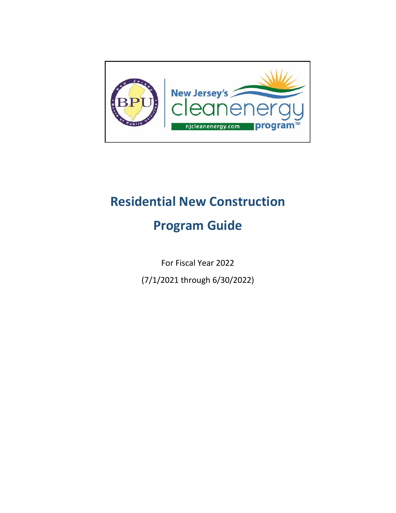

# **Residential New Construction**

# **Program Guide**

For Fiscal Year 2022

(7/1/2021 through 6/30/2022)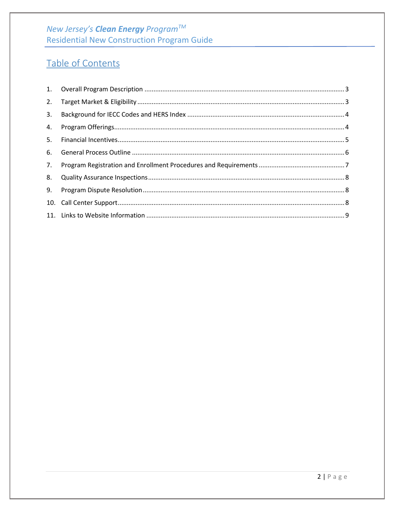# New Jersey's Clean Energy Program™ **Residential New Construction Program Guide**

# Table of Contents

| 2. |  |
|----|--|
| 3. |  |
| 4. |  |
| 5. |  |
| 6. |  |
| 7. |  |
| 8. |  |
| 9. |  |
|    |  |
|    |  |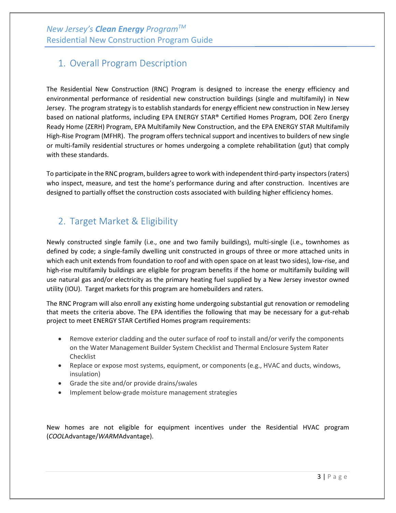# <span id="page-2-0"></span>1. Overall Program Description

The Residential New Construction (RNC) Program is designed to increase the energy efficiency and environmental performance of residential new construction buildings (single and multifamily) in New Jersey. The program strategy is to establish standards for energy efficient new construction in New Jersey based on national platforms, including EPA ENERGY STAR® Certified Homes Program, DOE Zero Energy Ready Home (ZERH) Program, EPA Multifamily New Construction, and the EPA ENERGY STAR Multifamily High-Rise Program (MFHR). The program offers technical support and incentives to builders of new single or multi-family residential structures or homes undergoing a complete rehabilitation (gut) that comply with these standards.

To participate in the RNC program, builders agree to work with independent third-party inspectors (raters) who inspect, measure, and test the home's performance during and after construction. Incentives are designed to partially offset the construction costs associated with building higher efficiency homes.

# <span id="page-2-1"></span>2. Target Market & Eligibility

Newly constructed single family (i.e., one and two family buildings), multi-single (i.e., townhomes as defined by code; a single-family dwelling unit constructed in groups of three or more attached units in which each unit extends from foundation to roof and with open space on at least two sides), low-rise, and high-rise multifamily buildings are eligible for program benefits if the home or multifamily building will use natural gas and/or electricity as the primary heating fuel supplied by a New Jersey investor owned utility (IOU). Target markets for this program are homebuilders and raters.

The RNC Program will also enroll any existing home undergoing substantial gut renovation or remodeling that meets the criteria above. The EPA identifies the following that may be necessary for a gut-rehab project to meet ENERGY STAR Certified Homes program requirements:

- Remove exterior cladding and the outer surface of roof to install and/or verify the components on the Water Management Builder System Checklist and Thermal Enclosure System Rater Checklist
- Replace or expose most systems, equipment, or components (e.g., HVAC and ducts, windows, insulation)
- Grade the site and/or provide drains/swales
- Implement below-grade moisture management strategies

New homes are not eligible for equipment incentives under the Residential HVAC program (*COOL*Advantage/*WARM*Advantage).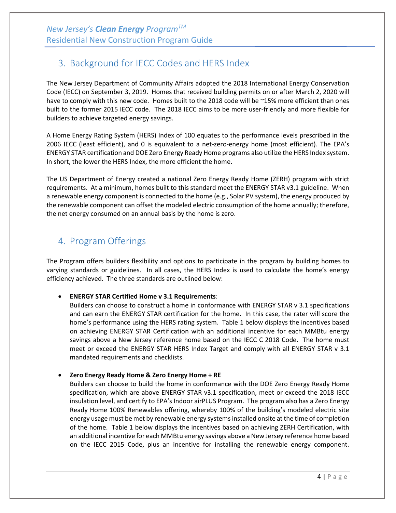# <span id="page-3-0"></span>3. Background for IECC Codes and HERS Index

The New Jersey Department of Community Affairs adopted the 2018 International Energy Conservation Code (IECC) on September 3, 2019. Homes that received building permits on or after March 2, 2020 will have to comply with this new code. Homes built to the 2018 code will be ~15% more efficient than ones built to the former 2015 IECC code. The 2018 IECC aims to be more user-friendly and more flexible for builders to achieve targeted energy savings.

A Home Energy Rating System (HERS) Index of 100 equates to the performance levels prescribed in the 2006 IECC (least efficient), and 0 is equivalent to a net-zero-energy home (most efficient). The EPA's ENERGY STAR certification and DOE Zero Energy Ready Home programs also utilize the HERS Index system. In short, the lower the HERS Index, the more efficient the home.

The US Department of Energy created a national Zero Energy Ready Home (ZERH) program with strict requirements. At a minimum, homes built to this standard meet the ENERGY STAR v3.1 guideline. When a renewable energy component is connected to the home (e.g., Solar PV system), the energy produced by the renewable component can offset the modeled electric consumption of the home annually; therefore, the net energy consumed on an annual basis by the home is zero.

# <span id="page-3-1"></span>4. Program Offerings

The Program offers builders flexibility and options to participate in the program by building homes to varying standards or guidelines. In all cases, the HERS Index is used to calculate the home's energy efficiency achieved. The three standards are outlined below:

#### • **ENERGY STAR Certified Home v 3.1 Requirements**:

Builders can choose to construct a home in conformance with ENERGY STAR v 3.1 specifications and can earn the ENERGY STAR certification for the home. In this case, the rater will score the home's performance using the HERS rating system. Table 1 below displays the incentives based on achieving ENERGY STAR Certification with an additional incentive for each MMBtu energy savings above a New Jersey reference home based on the IECC C 2018 Code. The home must meet or exceed the ENERGY STAR HERS Index Target and comply with all ENERGY STAR v 3.1 mandated requirements and checklists.

#### • **Zero Energy Ready Home & Zero Energy Home + RE**

Builders can choose to build the home in conformance with the DOE Zero Energy Ready Home specification, which are above ENERGY STAR v3.1 specification, meet or exceed the 2018 IECC insulation level, and certify to EPA's Indoor airPLUS Program. The program also has a Zero Energy Ready Home 100% Renewables offering, whereby 100% of the building's modeled electric site energy usage must be met by renewable energy systems installed onsite at the time of completion of the home. Table 1 below displays the incentives based on achieving ZERH Certification, with an additional incentive for each MMBtu energy savings above a New Jersey reference home based on the IECC 2015 Code, plus an incentive for installing the renewable energy component.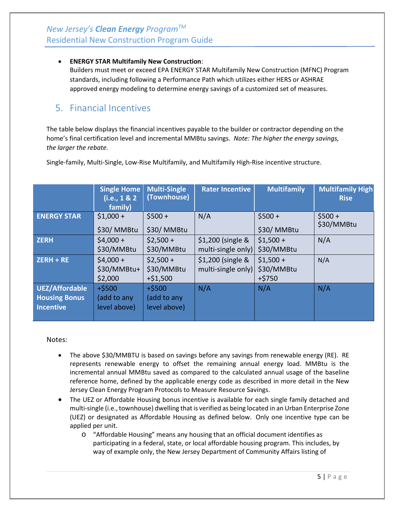#### • **ENERGY STAR Multifamily New Construction**:

Builders must meet or exceed EPA ENERGY STAR Multifamily New Construction (MFNC) Program standards, including following a Performance Path which utilizes either HERS or ASHRAE approved energy modeling to determine energy savings of a customized set of measures.

## <span id="page-4-0"></span>5. Financial Incentives

The table below displays the financial incentives payable to the builder or contractor depending on the home's final certification level and incremental MMBtu savings*. Note: The higher the energy savings, the larger the rebate.*

|                                                                   | Single Home<br>(i.e., 1 & 2)<br>family) | <b>Multi-Single</b><br>(Townhouse)      | <b>Rater Incentive</b>                  | <b>Multifamily</b>                   | <b>Multifamily High</b><br><b>Rise</b> |
|-------------------------------------------------------------------|-----------------------------------------|-----------------------------------------|-----------------------------------------|--------------------------------------|----------------------------------------|
| <b>ENERGY STAR</b>                                                | $$1,000 +$<br>\$30/MMBtu                | $$500 +$<br>\$30/MMBtu                  | N/A                                     | $$500+$<br>\$30/MMBtu                | $$500 +$<br>\$30/MMBtu                 |
| <b>ZERH</b>                                                       | $$4,000+$<br>\$30/MMBtu                 | $$2,500+$<br>\$30/MMBtu                 | \$1,200 (single &<br>multi-single only) | $$1,500 +$<br>\$30/MMBtu             | N/A                                    |
| ZERH + RE                                                         | $$4,000+$<br>\$30/MMBtu+<br>\$2,000     | $$2,500+$<br>\$30/MMBtu<br>$+ $1,500$   | \$1,200 (single &<br>multi-single only) | $$1,500 +$<br>\$30/MMBtu<br>$+ $750$ | N/A                                    |
| <b>UEZ/Affordable</b><br><b>Housing Bonus</b><br><b>Incentive</b> | $+ $500$<br>(add to any<br>level above) | $+ $500$<br>(add to any<br>level above) | N/A                                     | N/A                                  | N/A                                    |

Single-family, Multi-Single, Low-Rise Multifamily, and Multifamily High-Rise incentive structure.

#### Notes:

- The above \$30/MMBTU is based on savings before any savings from renewable energy (RE). RE represents renewable energy to offset the remaining annual energy load. MMBtu is the incremental annual MMBtu saved as compared to the calculated annual usage of the baseline reference home, defined by the applicable energy code as described in more detail in the New Jersey Clean Energy Program Protocols to Measure Resource Savings.
- The UEZ or Affordable Housing bonus incentive is available for each single family detached and multi-single (i.e.,townhouse) dwelling that is verified as being located in an Urban Enterprise Zone (UEZ) or designated as Affordable Housing as defined below. Only one incentive type can be applied per unit.
	- o "Affordable Housing" means any housing that an official document identifies as participating in a federal, state, or local affordable housing program. This includes, by way of example only, the New Jersey Department of Community Affairs listing of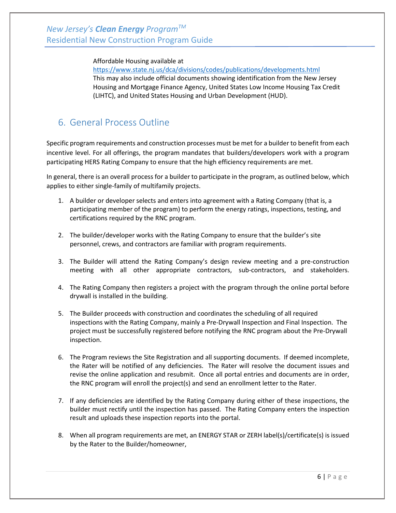#### Affordable Housing available at

<https://www.state.nj.us/dca/divisions/codes/publications/developments.html> This may also include official documents showing identification from the New Jersey Housing and Mortgage Finance Agency, United States Low Income Housing Tax Credit (LIHTC), and United States Housing and Urban Development (HUD).

# <span id="page-5-0"></span>6. General Process Outline

Specific program requirements and construction processes must be met for a builder to benefit from each incentive level. For all offerings, the program mandates that builders/developers work with a program participating HERS Rating Company to ensure that the high efficiency requirements are met.

In general, there is an overall process for a builder to participate in the program, as outlined below, which applies to either single-family of multifamily projects.

- 1. A builder or developer selects and enters into agreement with a Rating Company (that is, a participating member of the program) to perform the energy ratings, inspections, testing, and certifications required by the RNC program.
- 2. The builder/developer works with the Rating Company to ensure that the builder's site personnel, crews, and contractors are familiar with program requirements.
- 3. The Builder will attend the Rating Company's design review meeting and a pre-construction meeting with all other appropriate contractors, sub-contractors, and stakeholders.
- 4. The Rating Company then registers a project with the program through the online portal before drywall is installed in the building.
- 5. The Builder proceeds with construction and coordinates the scheduling of all required inspections with the Rating Company, mainly a Pre-Drywall Inspection and Final Inspection. The project must be successfully registered before notifying the RNC program about the Pre-Drywall inspection.
- 6. The Program reviews the Site Registration and all supporting documents. If deemed incomplete, the Rater will be notified of any deficiencies. The Rater will resolve the document issues and revise the online application and resubmit. Once all portal entries and documents are in order, the RNC program will enroll the project(s) and send an enrollment letter to the Rater.
- 7. If any deficiencies are identified by the Rating Company during either of these inspections, the builder must rectify until the inspection has passed. The Rating Company enters the inspection result and uploads these inspection reports into the portal.
- 8. When all program requirements are met, an ENERGY STAR or ZERH label(s)/certificate(s) is issued by the Rater to the Builder/homeowner,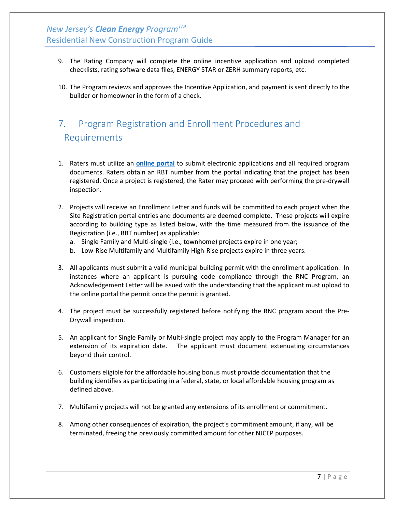- 9. The Rating Company will complete the online incentive application and upload completed checklists, rating software data files, ENERGY STAR or ZERH summary reports, etc.
- 10. The Program reviews and approves the Incentive Application, and payment is sent directly to the builder or homeowner in the form of a check.

# <span id="page-6-0"></span>7. Program Registration and Enrollment Procedures and Requirements

- 1. Raters must utilize an **[online portal](http://www.njcleanenergy.com/rncportal)** to submit electronic applications and all required program documents. Raters obtain an RBT number from the portal indicating that the project has been registered. Once a project is registered, the Rater may proceed with performing the pre-drywall inspection.
- 2. Projects will receive an Enrollment Letter and funds will be committed to each project when the Site Registration portal entries and documents are deemed complete. These projects will expire according to building type as listed below, with the time measured from the issuance of the Registration (i.e., RBT number) as applicable:
	- a. Single Family and Multi-single (i.e., townhome) projects expire in one year;
	- b. Low-Rise Multifamily and Multifamily High-Rise projects expire in three years.
- 3. All applicants must submit a valid municipal building permit with the enrollment application. In instances where an applicant is pursuing code compliance through the RNC Program, an Acknowledgement Letter will be issued with the understanding that the applicant must upload to the online portal the permit once the permit is granted.
- 4. The project must be successfully registered before notifying the RNC program about the Pre-Drywall inspection.
- 5. An applicant for Single Family or Multi-single project may apply to the Program Manager for an extension of its expiration date. The applicant must document extenuating circumstances beyond their control.
- 6. Customers eligible for the affordable housing bonus must provide documentation that the building identifies as participating in a federal, state, or local affordable housing program as defined above.
- 7. Multifamily projects will not be granted any extensions of its enrollment or commitment.
- 8. Among other consequences of expiration, the project's commitment amount, if any, will be terminated, freeing the previously committed amount for other NJCEP purposes.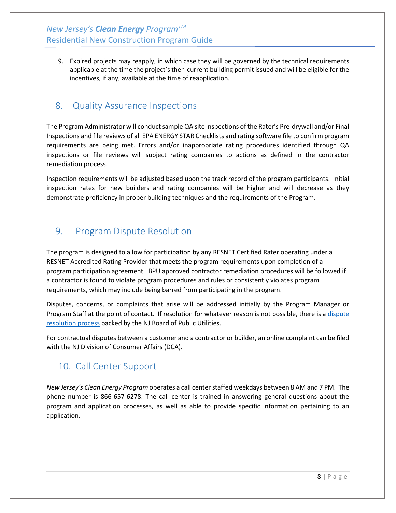*New Jersey's Clean Energy ProgramTM* Residential New Construction Program Guide

9. Expired projects may reapply, in which case they will be governed by the technical requirements applicable at the time the project's then-current building permit issued and will be eligible for the incentives, if any, available at the time of reapplication.

### <span id="page-7-0"></span>8. Quality Assurance Inspections

The Program Administrator will conduct sample QA site inspections of the Rater's Pre-drywall and/or Final Inspections and file reviews of all EPA ENERGY STAR Checklists and rating software file to confirm program requirements are being met. Errors and/or inappropriate rating procedures identified through QA inspections or file reviews will subject rating companies to actions as defined in the contractor remediation process.

Inspection requirements will be adjusted based upon the track record of the program participants. Initial inspection rates for new builders and rating companies will be higher and will decrease as they demonstrate proficiency in proper building techniques and the requirements of the Program.

## <span id="page-7-1"></span>9. Program Dispute Resolution

The program is designed to allow for participation by any RESNET Certified Rater operating under a RESNET Accredited Rating Provider that meets the program requirements upon completion of a program participation agreement. BPU approved contractor remediation procedures will be followed if a contractor is found to violate program procedures and rules or consistently violates program requirements, which may include being barred from participating in the program.

Disputes, concerns, or complaints that arise will be addressed initially by the Program Manager or Program Staff at the point of contact. If resolution for whatever reason is not possible, there is [a dispute](http://www.njcleanenergy.com/main/board-public-utilities/board-public-utilities-0)  [resolution process](http://www.njcleanenergy.com/main/board-public-utilities/board-public-utilities-0) backed by the NJ Board of Public Utilities.

For contractual disputes between a customer and a contractor or builder, an online complaint can be filed with the NJ Division of Consumer Affairs (DCA).

# <span id="page-7-2"></span>10. Call Center Support

*New Jersey's Clean Energy Program* operates a call centerstaffed weekdays between 8 AM and 7 PM. The phone number is 866-657-6278. The call center is trained in answering general questions about the program and application processes, as well as able to provide specific information pertaining to an application.